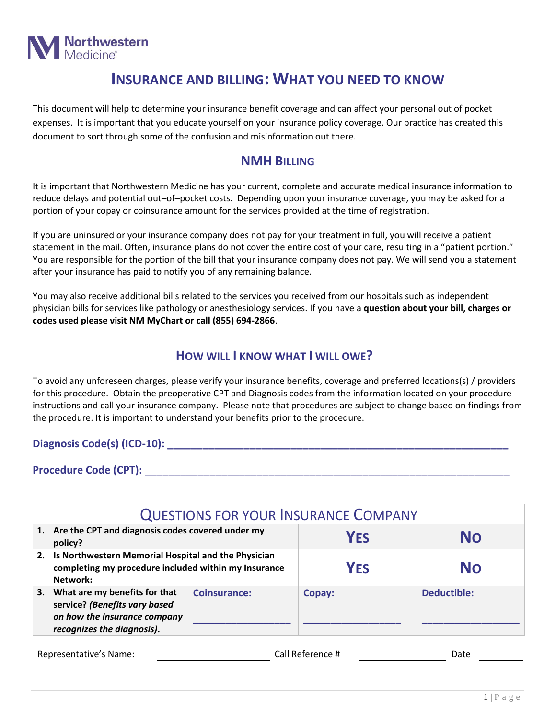

## **INSURANCE AND BILLING: WHAT YOU NEED TO KNOW**

This document will help to determine your insurance benefit coverage and can affect your personal out of pocket expenses. It is important that you educate yourself on your insurance policy coverage. Our practice has created this document to sort through some of the confusion and misinformation out there.

## **NMH BILLING**

It is important that Northwestern Medicine has your current, complete and accurate medical insurance information to reduce delays and potential out–of–pocket costs. Depending upon your insurance coverage, you may be asked for a portion of your copay or coinsurance amount for the services provided at the time of registration.

If you are uninsured or your insurance company does not pay for your treatment in full, you will receive a patient statement in the mail. Often, insurance plans do not cover the entire cost of your care, resulting in a "patient portion." You are responsible for the portion of the bill that your insurance company does not pay. We will send you a statement after your insurance has paid to notify you of any remaining balance.

You may also receive additional bills related to the services you received from our hospitals such as independent physician bills for services like pathology or anesthesiology services. If you have a **question about your bill, charges or codes used please visit NM MyChart or call (855) 694-2866**.

## **HOW WILL I KNOW WHAT I WILL OWE?**

To avoid any unforeseen charges, please verify your insurance benefits, coverage and preferred locations(s) / providers for this procedure. Obtain the preoperative CPT and Diagnosis codes from the information located on your procedure instructions and call your insurance company. Please note that procedures are subject to change based on findings from the procedure. It is important to understand your benefits prior to the procedure.

**Diagnosis Code(s) (ICD-10): \_\_\_\_\_\_\_\_\_\_\_\_\_\_\_\_\_\_\_\_\_\_\_\_\_\_\_\_\_\_\_\_\_\_\_\_\_\_\_\_\_\_\_\_\_\_\_\_\_\_\_\_\_\_\_\_\_\_**

**Procedure Code (CPT): \_\_\_\_\_\_\_\_\_\_\_\_\_\_\_\_\_\_\_\_\_\_\_\_\_\_\_\_\_\_\_\_\_\_\_\_\_\_\_\_\_\_\_\_\_\_\_\_\_\_\_\_\_\_\_\_\_\_\_\_\_\_**

| <b>QUESTIONS FOR YOUR INSURANCE COMPANY</b>                                                                                     |                     |            |             |  |  |
|---------------------------------------------------------------------------------------------------------------------------------|---------------------|------------|-------------|--|--|
| 1. Are the CPT and diagnosis codes covered under my<br>policy?                                                                  |                     | <b>YES</b> | No          |  |  |
| 2. Is Northwestern Memorial Hospital and the Physician<br>completing my procedure included within my Insurance<br>Network:      |                     | <b>YFS</b> | <b>No</b>   |  |  |
| 3. What are my benefits for that<br>service? (Benefits vary based<br>on how the insurance company<br>recognizes the diagnosis). | <b>Coinsurance:</b> | Copay:     | Deductible: |  |  |

| Representative's Name: | Call Reference # | つate |  |
|------------------------|------------------|------|--|
|                        |                  |      |  |